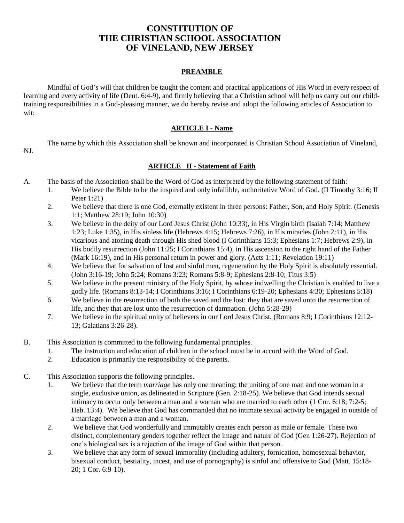# **CONSTITUTION OF THE CHRISTIAN SCHOOL ASSOCIATION OF VINELAND, NEW JERSEY**

### **PREAMBLE**

Mindful of God's will that children be taught the content and practical applications of His Word in every respect of learning and every activity of life (Deut. 6:4-9), and firmly believing that a Christian school will help us carry out our childtraining responsibilities in a God-pleasing manner, we do hereby revise and adopt the following articles of Association to wit:

### **ARTICLE I - Name**

The name by which this Association shall be known and incorporated is Christian School Association of Vineland,

NJ.

# **ARTICLE II - Statement of Faith**

- A. The basis of the Association shall be the Word of God as interpreted by the following statement of faith:
	- 1. We believe the Bible to be the inspired and only infallible, authoritative Word of God. (II Timothy 3:16; II Peter 1:21)
	- 2. We believe that there is one God, eternally existent in three persons: Father, Son, and Holy Spirit. (Genesis 1:1; Matthew 28:19; John 10:30)
	- 3. We believe in the deity of our Lord Jesus Christ (John 10:33), in His Virgin birth (Isaiah 7:14; Matthew 1:23; Luke 1:35), in His sinless life (Hebrews 4:15; Hebrews 7:26), in His miracles (John 2:11), in His vicarious and atoning death through His shed blood (I Corinthians 15:3; Ephesians 1:7; Hebrews 2:9), in His bodily resurrection (John 11:25; I Corinthians 15:4), in His ascension to the right hand of the Father (Mark 16:19), and in His personal return in power and glory. (Acts 1:11; Revelation 19:11)
	- 4. We believe that for salvation of lost and sinful men, regeneration by the Holy Spirit is absolutely essential. (John 3:16-19; John 5:24; Romans 3:23; Romans 5:8-9; Ephesians 2:8-10; Titus 3:5)
	- 5. We believe in the present ministry of the Holy Spirit, by whose indwelling the Christian is enabled to live a godly life. (Romans 8:13-14; I Corinthians 3:16; I Corinthians 6:19-20; Ephesians 4:30; Ephesians 5:18)
	- 6. We believe in the resurrection of both the saved and the lost: they that are saved unto the resurrection of life, and they that are lost unto the resurrection of damnation. (John 5:28-29)
	- 7. We believe in the spiritual unity of believers in our Lord Jesus Christ. (Romans 8:9; I Corinthians 12:12- 13; Galatians 3:26-28).
- B. This Association is committed to the following fundamental principles.
	- 1. The instruction and education of children in the school must be in accord with the Word of God.
	- 2. Education is primarily the responsibility of the parents.
- C. This Association supports the following principles.
	- 1. We believe that the term *marriage* has only one meaning; the uniting of one man and one woman in a single, exclusive union, as delineated in Scripture (Gen. 2:18-25). We believe that God intends sexual intimacy to occur only between a man and a woman who are married to each other (1 Cor. 6:18; 7:2-5; Heb. 13:4). We believe that God has commanded that no intimate sexual activity be engaged in outside of a marriage between a man and a woman.
	- 2. We believe that God wonderfully and immutably creates each person as male or female. These two distinct, complementary genders together reflect the image and nature of God (Gen 1:26-27). Rejection of one's biological sex is a rejection of the image of God within that person.
	- 3. We believe that any form of sexual immorality (including adultery, fornication, homosexual behavior, bisexual conduct, bestiality, incest, and use of pornography) is sinful and offensive to God (Matt. 15:18- 20; 1 Cor. 6:9-10).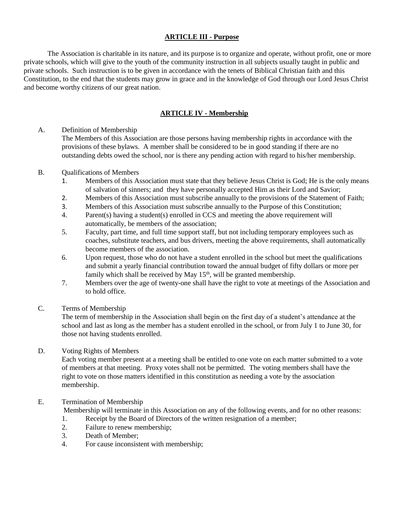### **ARTICLE III - Purpose**

The Association is charitable in its nature, and its purpose is to organize and operate, without profit, one or more private schools, which will give to the youth of the community instruction in all subjects usually taught in public and private schools. Such instruction is to be given in accordance with the tenets of Biblical Christian faith and this Constitution, to the end that the students may grow in grace and in the knowledge of God through our Lord Jesus Christ and become worthy citizens of our great nation.

### **ARTICLE IV - Membership**

A. Definition of Membership

The Members of this Association are those persons having membership rights in accordance with the provisions of these bylaws. A member shall be considered to be in good standing if there are no outstanding debts owed the school, nor is there any pending action with regard to his/her membership.

#### B. Qualifications of Members

- 1. Members of this Association must state that they believe Jesus Christ is God; He is the only means of salvation of sinners; and they have personally accepted Him as their Lord and Savior;
- 2. Members of this Association must subscribe annually to the provisions of the Statement of Faith;
- 3. Members of this Association must subscribe annually to the Purpose of this Constitution;
- 4. Parent(s) having a student(s) enrolled in CCS and meeting the above requirement will automatically, be members of the association;
- 5. Faculty, part time, and full time support staff, but not including temporary employees such as coaches, substitute teachers, and bus drivers, meeting the above requirements, shall automatically become members of the association.
- 6. Upon request, those who do not have a student enrolled in the school but meet the qualifications and submit a yearly financial contribution toward the annual budget of fifty dollars or more per family which shall be received by May  $15<sup>th</sup>$ , will be granted membership.
- 7. Members over the age of twenty-one shall have the right to vote at meetings of the Association and to hold office.
- C. Terms of Membership

The term of membership in the Association shall begin on the first day of a student's attendance at the school and last as long as the member has a student enrolled in the school, or from July 1 to June 30, for those not having students enrolled.

#### D. Voting Rights of Members

Each voting member present at a meeting shall be entitled to one vote on each matter submitted to a vote of members at that meeting. Proxy votes shall not be permitted. The voting members shall have the right to vote on those matters identified in this constitution as needing a vote by the association membership.

#### E. Termination of Membership

Membership will terminate in this Association on any of the following events, and for no other reasons:

- 1. Receipt by the Board of Directors of the written resignation of a member;
- 2. Failure to renew membership;
- 3. Death of Member;
- 4. For cause inconsistent with membership;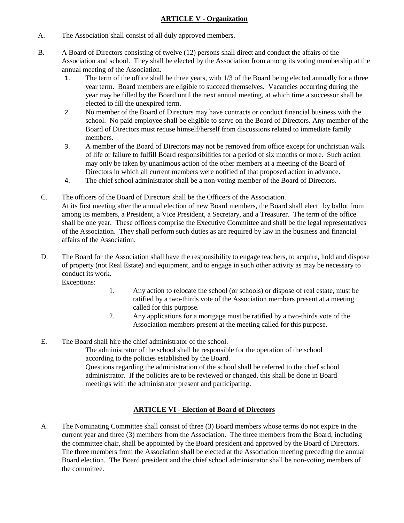### **ARTICLE V - Organization**

- A. The Association shall consist of all duly approved members.
- B. A Board of Directors consisting of twelve (12) persons shall direct and conduct the affairs of the Association and school. They shall be elected by the Association from among its voting membership at the annual meeting of the Association.
	- 1. The term of the office shall be three years, with 1/3 of the Board being elected annually for a three year term. Board members are eligible to succeed themselves. Vacancies occurring during the year may be filled by the Board until the next annual meeting, at which time a successor shall be elected to fill the unexpired term.
	- 2. No member of the Board of Directors may have contracts or conduct financial business with the school. No paid employee shall be eligible to serve on the Board of Directors. Any member of the Board of Directors must recuse himself/herself from discussions related to immediate family members.
	- 3. A member of the Board of Directors may not be removed from office except for unchristian walk of life or failure to fulfill Board responsibilities for a period of six months or more. Such action may only be taken by unanimous action of the other members at a meeting of the Board of Directors in which all current members were notified of that proposed action in advance.
	- 4. The chief school administrator shall be a non-voting member of the Board of Directors.
- C. The officers of the Board of Directors shall be the Officers of the Association. At its first meeting after the annual election of new Board members, the Board shall elect by ballot from among its members, a President, a Vice President, a Secretary, and a Treasurer. The term of the office shall be one year. These officers comprise the Executive Committee and shall be the legal representatives of the Association. They shall perform such duties as are required by law in the business and financial affairs of the Association.
- D. The Board for the Association shall have the responsibility to engage teachers, to acquire, hold and dispose of property (not Real Estate) and equipment, and to engage in such other activity as may be necessary to conduct its work.

Exceptions:

- 1. Any action to relocate the school (or schools) or dispose of real estate, must be ratified by a two-thirds vote of the Association members present at a meeting called for this purpose.
- 2. Any applications for a mortgage must be ratified by a two-thirds vote of the Association members present at the meeting called for this purpose.
- E. The Board shall hire the chief administrator of the school.

The administrator of the school shall be responsible for the operation of the school according to the policies established by the Board.

Questions regarding the administration of the school shall be referred to the chief school administrator. If the policies are to be reviewed or changed, this shall be done in Board meetings with the administrator present and participating.

# **ARTICLE VI - Election of Board of Directors**

A. The Nominating Committee shall consist of three (3) Board members whose terms do not expire in the current year and three (3) members from the Association. The three members from the Board, including the committee chair, shall be appointed by the Board president and approved by the Board of Directors. The three members from the Association shall be elected at the Association meeting preceding the annual Board election. The Board president and the chief school administrator shall be non-voting members of the committee.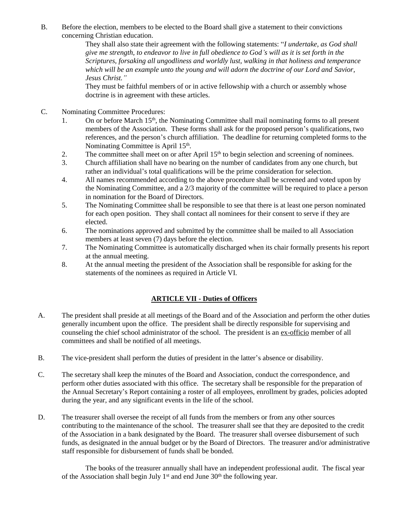B. Before the election, members to be elected to the Board shall give a statement to their convictions concerning Christian education.

They shall also state their agreement with the following statements: "*I undertake, as God shall give me strength, to endeavor to live in full obedience to God's will as it is set forth in the Scriptures, forsaking all ungodliness and worldly lust, walking in that holiness and temperance which will be an example unto the young and will adorn the doctrine of our Lord and Savior, Jesus Christ."*

They must be faithful members of or in active fellowship with a church or assembly whose doctrine is in agreement with these articles.

- C. Nominating Committee Procedures:
	- 1. On or before March 15<sup>th</sup>, the Nominating Committee shall mail nominating forms to all present members of the Association. These forms shall ask for the proposed person's qualifications, two references, and the person's church affiliation. The deadline for returning completed forms to the Nominating Committee is April 15<sup>th</sup>.
	- 2. The committee shall meet on or after April  $15<sup>th</sup>$  to begin selection and screening of nominees.
	- 3. Church affiliation shall have no bearing on the number of candidates from any one church, but rather an individual's total qualifications will be the prime consideration for selection.
	- 4. All names recommended according to the above procedure shall be screened and voted upon by the Nominating Committee, and a 2/3 majority of the committee will be required to place a person in nomination for the Board of Directors.
	- 5. The Nominating Committee shall be responsible to see that there is at least one person nominated for each open position. They shall contact all nominees for their consent to serve if they are elected.
	- 6. The nominations approved and submitted by the committee shall be mailed to all Association members at least seven (7) days before the election.
	- 7. The Nominating Committee is automatically discharged when its chair formally presents his report at the annual meeting.
	- 8. At the annual meeting the president of the Association shall be responsible for asking for the statements of the nominees as required in Article VI.

#### **ARTICLE VII - Duties of Officers**

- A. The president shall preside at all meetings of the Board and of the Association and perform the other duties generally incumbent upon the office. The president shall be directly responsible for supervising and counseling the chief school administrator of the school. The president is an ex-officio member of all committees and shall be notified of all meetings.
- B. The vice-president shall perform the duties of president in the latter's absence or disability.
- C. The secretary shall keep the minutes of the Board and Association, conduct the correspondence, and perform other duties associated with this office. The secretary shall be responsible for the preparation of the Annual Secretary's Report containing a roster of all employees, enrollment by grades, policies adopted during the year, and any significant events in the life of the school.
- D. The treasurer shall oversee the receipt of all funds from the members or from any other sources contributing to the maintenance of the school. The treasurer shall see that they are deposited to the credit of the Association in a bank designated by the Board. The treasurer shall oversee disbursement of such funds, as designated in the annual budget or by the Board of Directors. The treasurer and/or administrative staff responsible for disbursement of funds shall be bonded.

The books of the treasurer annually shall have an independent professional audit. The fiscal year of the Association shall begin July  $1<sup>st</sup>$  and end June  $30<sup>th</sup>$  the following year.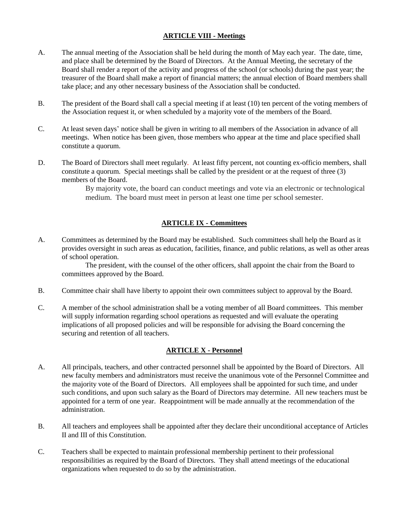### **ARTICLE VIII - Meetings**

- A. The annual meeting of the Association shall be held during the month of May each year. The date, time, and place shall be determined by the Board of Directors. At the Annual Meeting, the secretary of the Board shall render a report of the activity and progress of the school (or schools) during the past year; the treasurer of the Board shall make a report of financial matters; the annual election of Board members shall take place; and any other necessary business of the Association shall be conducted.
- B. The president of the Board shall call a special meeting if at least (10) ten percent of the voting members of the Association request it, or when scheduled by a majority vote of the members of the Board.
- C. At least seven days' notice shall be given in writing to all members of the Association in advance of all meetings. When notice has been given, those members who appear at the time and place specified shall constitute a quorum.
- D. The Board of Directors shall meet regularly. At least fifty percent, not counting ex-officio members, shall constitute a quorum. Special meetings shall be called by the president or at the request of three (3) members of the Board.

By majority vote, the board can conduct meetings and vote via an electronic or technological medium. The board must meet in person at least one time per school semester.

# **ARTICLE IX - Committees**

A. Committees as determined by the Board may be established. Such committees shall help the Board as it provides oversight in such areas as education, facilities, finance, and public relations, as well as other areas of school operation.

The president, with the counsel of the other officers, shall appoint the chair from the Board to committees approved by the Board.

- B. Committee chair shall have liberty to appoint their own committees subject to approval by the Board.
- C. A member of the school administration shall be a voting member of all Board committees. This member will supply information regarding school operations as requested and will evaluate the operating implications of all proposed policies and will be responsible for advising the Board concerning the securing and retention of all teachers.

# **ARTICLE X - Personnel**

- A. All principals, teachers, and other contracted personnel shall be appointed by the Board of Directors. All new faculty members and administrators must receive the unanimous vote of the Personnel Committee and the majority vote of the Board of Directors. All employees shall be appointed for such time, and under such conditions, and upon such salary as the Board of Directors may determine. All new teachers must be appointed for a term of one year. Reappointment will be made annually at the recommendation of the administration.
- B. All teachers and employees shall be appointed after they declare their unconditional acceptance of Articles II and III of this Constitution.
- C. Teachers shall be expected to maintain professional membership pertinent to their professional responsibilities as required by the Board of Directors. They shall attend meetings of the educational organizations when requested to do so by the administration.